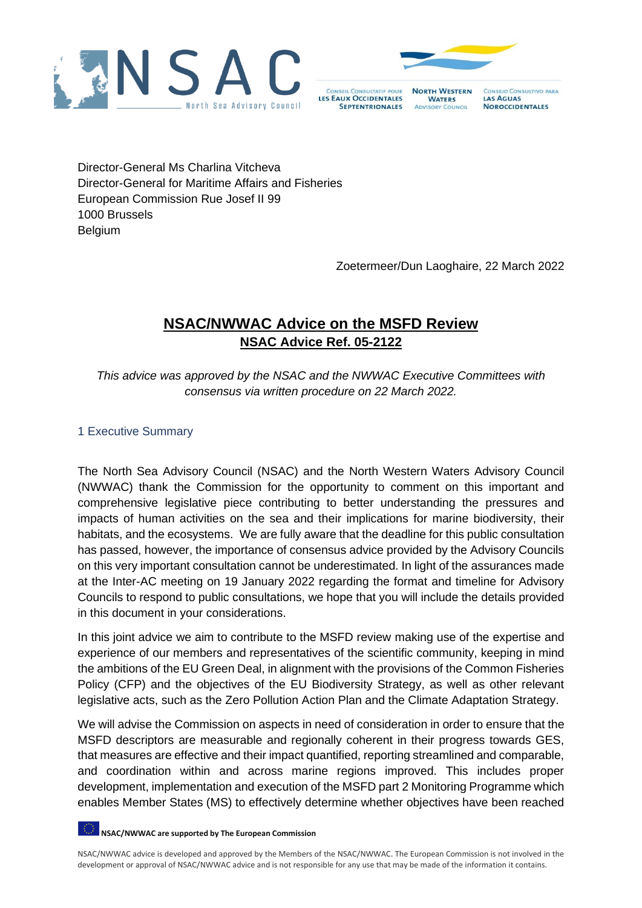



**CONSEIL CONSULTATIF POUR NORTH WESTERN WATERS SEPTENTRIONALES ADVISORY COUNCIL** 

**LAS AGUAS** 

CONSEJO CONSULTIVO PARA **NOROCCIDENTALES** 

Director-General Ms Charlina Vitcheva Director-General for Maritime Affairs and Fisheries European Commission Rue Josef II 99 1000 Brussels Belgium

Zoetermeer/Dun Laoghaire, 22 March 2022

# **NSAC/NWWAC Advice on the MSFD Review NSAC Advice Ref. 05-2122**

*This advice was approved by the NSAC and the NWWAC Executive Committees with consensus via written procedure on 22 March 2022.*

# 1 Executive Summary

The North Sea Advisory Council (NSAC) and the North Western Waters Advisory Council (NWWAC) thank the Commission for the opportunity to comment on this important and comprehensive legislative piece contributing to better understanding the pressures and impacts of human activities on the sea and their implications for marine biodiversity, their habitats, and the ecosystems. We are fully aware that the deadline for this public consultation has passed, however, the importance of consensus advice provided by the Advisory Councils on this very important consultation cannot be underestimated. In light of the assurances made at the Inter-AC meeting on 19 January 2022 regarding the format and timeline for Advisory Councils to respond to public consultations, we hope that you will include the details provided in this document in your considerations.

In this joint advice we aim to contribute to the MSFD review making use of the expertise and experience of our members and representatives of the scientific community, keeping in mind the ambitions of the EU Green Deal, in alignment with the provisions of the Common Fisheries Policy (CFP) and the objectives of the EU Biodiversity Strategy, as well as other relevant legislative acts, such as the Zero Pollution Action Plan and the Climate Adaptation Strategy.

We will advise the Commission on aspects in need of consideration in order to ensure that the MSFD descriptors are measurable and regionally coherent in their progress towards GES, that measures are effective and their impact quantified, reporting streamlined and comparable, and coordination within and across marine regions improved. This includes proper development, implementation and execution of the MSFD part 2 Monitoring Programme which enables Member States (MS) to effectively determine whether objectives have been reached

**NSAC/NWWAC are supported by The European Commission**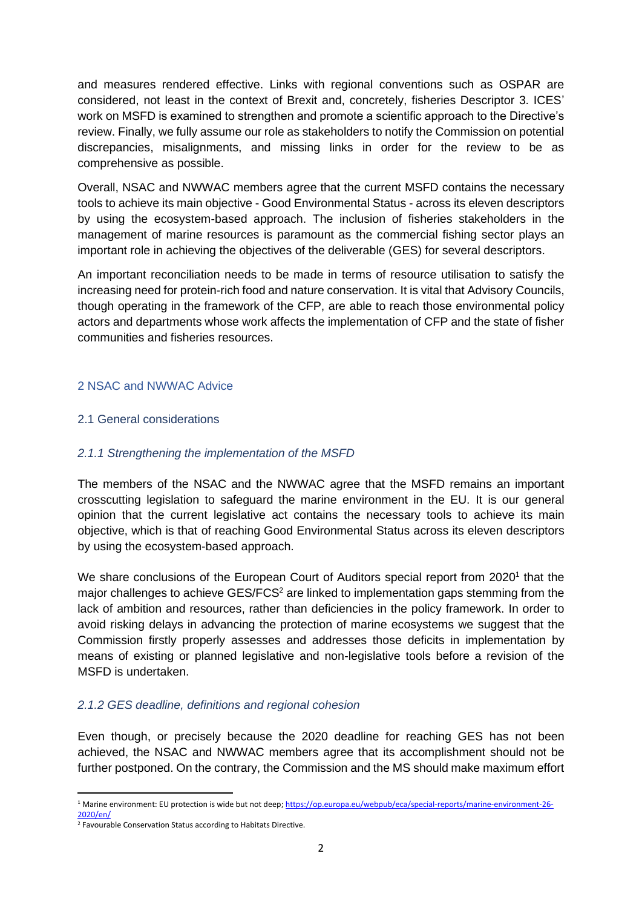and measures rendered effective. Links with regional conventions such as OSPAR are considered, not least in the context of Brexit and, concretely, fisheries Descriptor 3. ICES' work on MSFD is examined to strengthen and promote a scientific approach to the Directive's review. Finally, we fully assume our role as stakeholders to notify the Commission on potential discrepancies, misalignments, and missing links in order for the review to be as comprehensive as possible.

Overall, NSAC and NWWAC members agree that the current MSFD contains the necessary tools to achieve its main objective - Good Environmental Status - across its eleven descriptors by using the ecosystem-based approach. The inclusion of fisheries stakeholders in the management of marine resources is paramount as the commercial fishing sector plays an important role in achieving the objectives of the deliverable (GES) for several descriptors.

An important reconciliation needs to be made in terms of resource utilisation to satisfy the increasing need for protein-rich food and nature conservation. It is vital that Advisory Councils, though operating in the framework of the CFP, are able to reach those environmental policy actors and departments whose work affects the implementation of CFP and the state of fisher communities and fisheries resources.

## 2 NSAC and NWWAC Advice

#### 2.1 General considerations

### *2.1.1 Strengthening the implementation of the MSFD*

The members of the NSAC and the NWWAC agree that the MSFD remains an important crosscutting legislation to safeguard the marine environment in the EU. It is our general opinion that the current legislative act contains the necessary tools to achieve its main objective, which is that of reaching Good Environmental Status across its eleven descriptors by using the ecosystem-based approach.

We share conclusions of the European Court of Auditors special report from 2020<sup>1</sup> that the major challenges to achieve  $GES/FCS<sup>2</sup>$  are linked to implementation gaps stemming from the lack of ambition and resources, rather than deficiencies in the policy framework. In order to avoid risking delays in advancing the protection of marine ecosystems we suggest that the Commission firstly properly assesses and addresses those deficits in implementation by means of existing or planned legislative and non-legislative tools before a revision of the MSFD is undertaken.

#### *2.1.2 GES deadline, definitions and regional cohesion*

Even though, or precisely because the 2020 deadline for reaching GES has not been achieved, the NSAC and NWWAC members agree that its accomplishment should not be further postponed. On the contrary, the Commission and the MS should make maximum effort

<sup>&</sup>lt;sup>1</sup> Marine environment: EU protection is wide but not deep[; https://op.europa.eu/webpub/eca/special-reports/marine-environment-26-](https://op.europa.eu/webpub/eca/special-reports/marine-environment-26-2020/en/) [2020/en/](https://op.europa.eu/webpub/eca/special-reports/marine-environment-26-2020/en/)

<sup>&</sup>lt;sup>2</sup> Favourable Conservation Status according to Habitats Directive.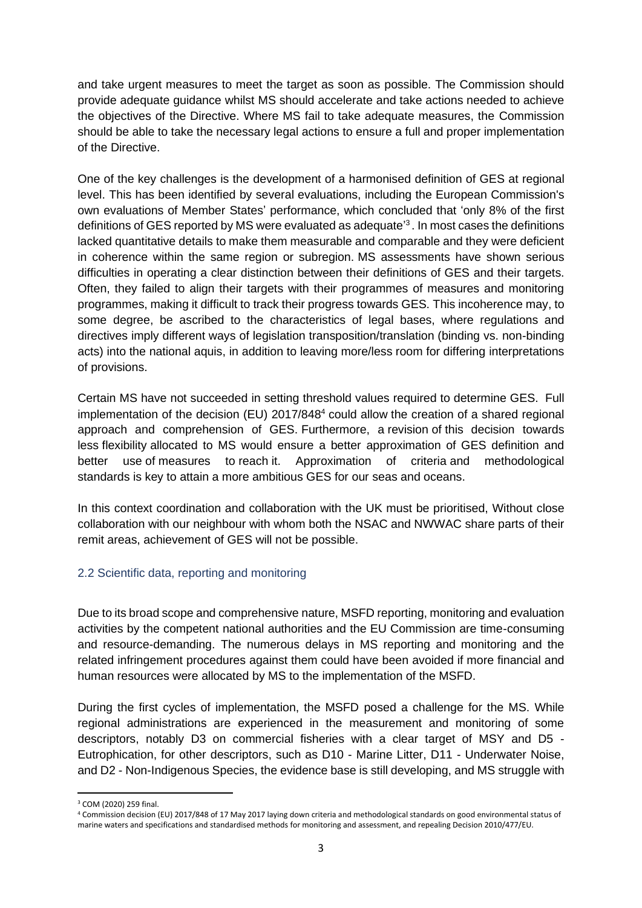and take urgent measures to meet the target as soon as possible. The Commission should provide adequate guidance whilst MS should accelerate and take actions needed to achieve the objectives of the Directive. Where MS fail to take adequate measures, the Commission should be able to take the necessary legal actions to ensure a full and proper implementation of the Directive.

One of the key challenges is the development of a harmonised definition of GES at regional level. This has been identified by several evaluations, including the European Commission's own evaluations of Member States' performance, which concluded that 'only 8% of the first definitions of GES reported by MS were evaluated as adequate<sup>3</sup>. In most cases the definitions lacked quantitative details to make them measurable and comparable and they were deficient in coherence within the same region or subregion. MS assessments have shown serious difficulties in operating a clear distinction between their definitions of GES and their targets. Often, they failed to align their targets with their programmes of measures and monitoring programmes, making it difficult to track their progress towards GES. This incoherence may, to some degree, be ascribed to the characteristics of legal bases, where regulations and directives imply different ways of legislation transposition/translation (binding vs. non-binding acts) into the national aquis, in addition to leaving more/less room for differing interpretations of provisions.

Certain MS have not succeeded in setting threshold values required to determine GES. Full implementation of the decision (EU) 2017/848<sup>4</sup> could allow the creation of a shared regional approach and comprehension of GES. Furthermore, a revision of this decision towards less flexibility allocated to MS would ensure a better approximation of GES definition and better use of measures to reach it. Approximation of criteria and methodological standards is key to attain a more ambitious GES for our seas and oceans.

In this context coordination and collaboration with the UK must be prioritised, Without close collaboration with our neighbour with whom both the NSAC and NWWAC share parts of their remit areas, achievement of GES will not be possible.

# 2.2 Scientific data, reporting and monitoring

Due to its broad scope and comprehensive nature, MSFD reporting, monitoring and evaluation activities by the competent national authorities and the EU Commission are time-consuming and resource-demanding. The numerous delays in MS reporting and monitoring and the related infringement procedures against them could have been avoided if more financial and human resources were allocated by MS to the implementation of the MSFD.

During the first cycles of implementation, the MSFD posed a challenge for the MS. While regional administrations are experienced in the measurement and monitoring of some descriptors, notably D3 on commercial fisheries with a clear target of MSY and D5 - Eutrophication, for other descriptors, such as D10 - Marine Litter, D11 - Underwater Noise, and D2 - Non-Indigenous Species, the evidence base is still developing, and MS struggle with

<sup>3</sup> COM (2020) 259 final.

<sup>4</sup> Commission decision (EU) 2017/848 of 17 May 2017 laying down criteria and methodological standards on good environmental status of marine waters and specifications and standardised methods for monitoring and assessment, and repealing Decision 2010/477/EU.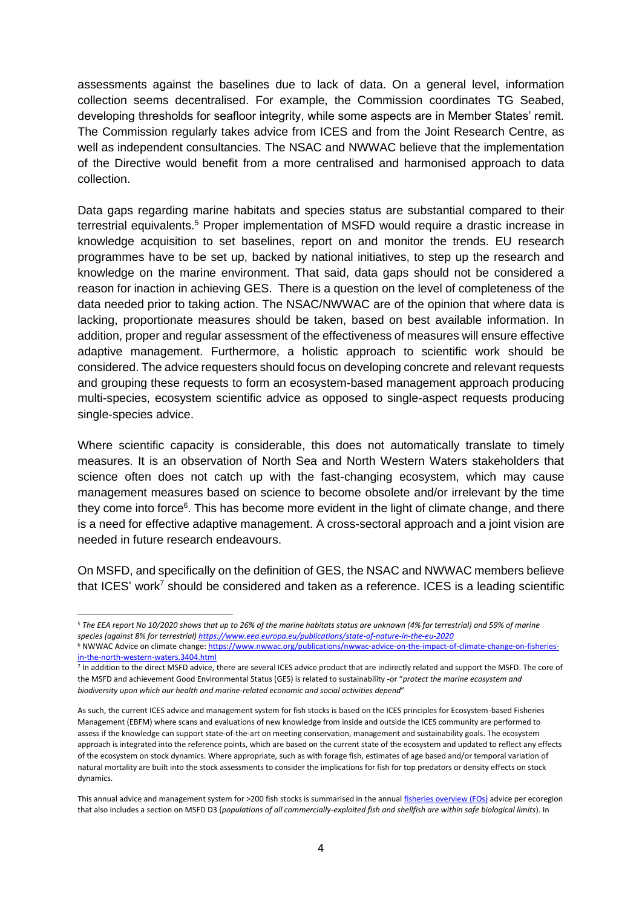assessments against the baselines due to lack of data. On a general level, information collection seems decentralised. For example, the Commission coordinates TG Seabed, developing thresholds for seafloor integrity, while some aspects are in Member States' remit. The Commission regularly takes advice from ICES and from the Joint Research Centre, as well as independent consultancies. The NSAC and NWWAC believe that the implementation of the Directive would benefit from a more centralised and harmonised approach to data collection.

Data gaps regarding marine habitats and species status are substantial compared to their terrestrial equivalents.<sup>5</sup> Proper implementation of MSFD would require a drastic increase in knowledge acquisition to set baselines, report on and monitor the trends. EU research programmes have to be set up, backed by national initiatives, to step up the research and knowledge on the marine environment. That said, data gaps should not be considered a reason for inaction in achieving GES. There is a question on the level of completeness of the data needed prior to taking action. The NSAC/NWWAC are of the opinion that where data is lacking, proportionate measures should be taken, based on best available information. In addition, proper and regular assessment of the effectiveness of measures will ensure effective adaptive management. Furthermore, a holistic approach to scientific work should be considered. The advice requesters should focus on developing concrete and relevant requests and grouping these requests to form an ecosystem-based management approach producing multi-species, ecosystem scientific advice as opposed to single-aspect requests producing single-species advice.

Where scientific capacity is considerable, this does not automatically translate to timely measures. It is an observation of North Sea and North Western Waters stakeholders that science often does not catch up with the fast-changing ecosystem, which may cause management measures based on science to become obsolete and/or irrelevant by the time they come into force<sup>6</sup>. This has become more evident in the light of climate change, and there is a need for effective adaptive management. A cross-sectoral approach and a joint vision are needed in future research endeavours.

On MSFD, and specifically on the definition of GES, the NSAC and NWWAC members believe that ICES' work<sup>7</sup> should be considered and taken as a reference. ICES is a leading scientific

<sup>5</sup> *The EEA report No 10/2020 shows that up to 26% of the marine habitats status are unknown (4% for terrestrial) and 59% of marine species (against 8% for terrestrial[\) https://www.eea.europa.eu/publications/state-of-nature-in-the-eu-2020](https://www.eea.europa.eu/publications/state-of-nature-in-the-eu-2020)*

<sup>6</sup> NWWAC Advice on climate change[: https://www.nwwac.org/publications/nwwac-advice-on-the-impact-of-climate-change-on-fisheries](https://www.nwwac.org/publications/nwwac-advice-on-the-impact-of-climate-change-on-fisheries-in-the-north-western-waters.3404.html)[in-the-north-western-waters.3404.html](https://www.nwwac.org/publications/nwwac-advice-on-the-impact-of-climate-change-on-fisheries-in-the-north-western-waters.3404.html)

<sup>&</sup>lt;sup>7</sup> In addition to the direct MSFD advice, there are several ICES advice product that are indirectly related and support the MSFD. The core of the MSFD and achievement Good Environmental Status (GES) is related to sustainability -or "*protect the marine ecosystem and biodiversity upon which our health and marine-related economic and social activities depend*"

As such, the current ICES advice and management system for fish stocks is based on the ICES principles for Ecosystem-based Fisheries Management (EBFM) where scans and evaluations of new knowledge from inside and outside the ICES community are performed to assess if the knowledge can support state-of-the-art on meeting conservation, management and sustainability goals. The ecosystem approach is integrated into the reference points, which are based on the current state of the ecosystem and updated to reflect any effects of the ecosystem on stock dynamics. Where appropriate, such as with forage fish, estimates of age based and/or temporal variation of natural mortality are built into the stock assessments to consider the implications for fish for top predators or density effects on stock dynamics.

This annual advice and management system for >200 fish stocks is summarised in the annual [fisheries overview \(FOs\)](https://www.ices.dk/advice/Fisheries-overviews/Pages/fisheries-overviews.aspx) advice per ecoregion that also includes a section on MSFD D3 (*populations of all commercially-exploited fish and shellfish are within safe biological limits*). In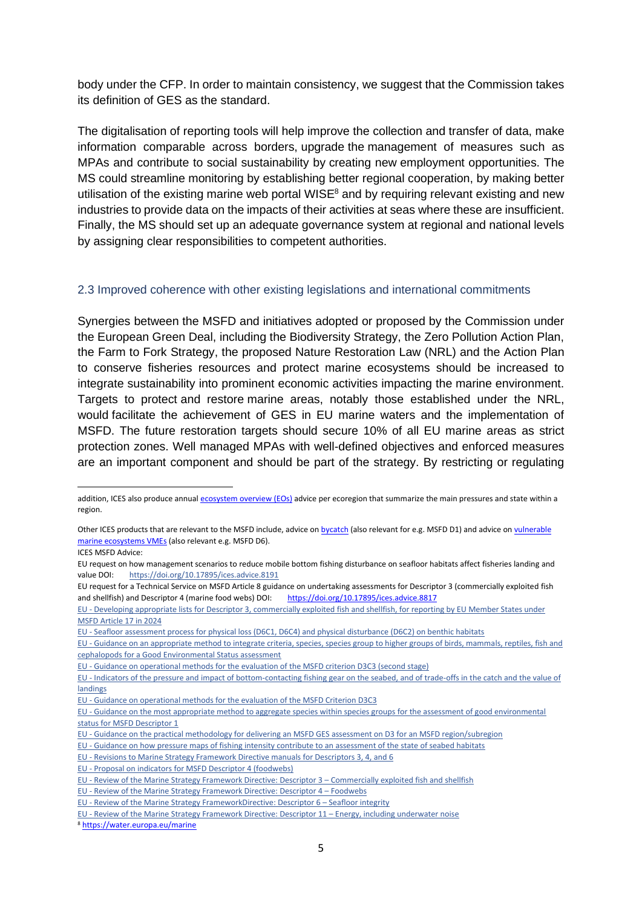body under the CFP. In order to maintain consistency, we suggest that the Commission takes its definition of GES as the standard.

The digitalisation of reporting tools will help improve the collection and transfer of data, make information comparable across borders, upgrade the management of measures such as MPAs and contribute to social sustainability by creating new employment opportunities. The MS could streamline monitoring by establishing better regional cooperation, by making better utilisation of the existing marine web portal WISE $<sup>8</sup>$  and by requiring relevant existing and new</sup> industries to provide data on the impacts of their activities at seas where these are insufficient. Finally, the MS should set up an adequate governance system at regional and national levels by assigning clear responsibilities to competent authorities.

#### 2.3 Improved coherence with other existing legislations and international commitments

Synergies between the MSFD and initiatives adopted or proposed by the Commission under the European Green Deal, including the Biodiversity Strategy, the Zero Pollution Action Plan, the Farm to Fork Strategy, the proposed Nature Restoration Law (NRL) and the Action Plan to conserve fisheries resources and protect marine ecosystems should be increased to integrate sustainability into prominent economic activities impacting the marine environment. Targets to protect and restore marine areas, notably those established under the NRL, would facilitate the achievement of GES in EU marine waters and the implementation of MSFD. The future restoration targets should secure 10% of all EU marine areas as strict protection zones. Well managed MPAs with well-defined objectives and enforced measures are an important component and should be part of the strategy. By restricting or regulating

EU - [Revisions to Marine Strategy Framework Directive manuals for Descriptors 3, 4, and 6](https://www.ices.dk/sites/pub/Publication%20Reports/Advice/2015/Special_Requests/EU_Revisions_to_MSFD_manuals_for_Descriptors_346.pdf)

<sup>8</sup> <https://water.europa.eu/marine>

addition, ICES also produce annua[l ecosystem overview \(EOs\)](https://www.ices.dk/advice/ESD/Pages/Ecosystem-overviews.aspx) advice per ecoregion that summarize the main pressures and state within a region.

Other ICES products that are relevant to the MSFD include, advice o[n bycatch](https://www.ices.dk/sites/pub/Publication%20Reports/Advice/2020/2020/Roadmap_ICES_Bycatch_Advice.pdf) (also relevant for e.g. MSFD D1) and advice o[n vulnerable](https://www.ices.dk/data/data-portals/Pages/vulnerable-marine-ecosystems.aspx)  [marine ecosystems VMEs](https://www.ices.dk/data/data-portals/Pages/vulnerable-marine-ecosystems.aspx) (also relevant e.g. MSFD D6).

ICES MSFD Advice:

EU request on how management scenarios to reduce mobile bottom fishing disturbance on seafloor habitats affect fisheries landing and value DOI: <https://doi.org/10.17895/ices.advice.8191>

EU request for a Technical Service on MSFD Article 8 guidance on undertaking assessments for Descriptor 3 (commercially exploited fish and shellfish) and Descriptor 4 (marine food webs) DOI: <https://doi.org/10.17895/ices.advice.8817>

EU - [Developing appropriate lists for Descriptor 3, commercially exploited fish and shellfish, for reporting by EU Member States under](https://www.ices.dk/sites/pub/Publication%20Reports/Advice/2020/Special_Requests/eu.2020.13.pdf)  [MSFD Article 17 in 2024](https://www.ices.dk/sites/pub/Publication%20Reports/Advice/2020/Special_Requests/eu.2020.13.pdf)

EU - [Seafloor assessment process for physical loss \(D6C1, D6C4\) and physical disturbance \(D6C2\) on benthic habitats](https://www.ices.dk/sites/pub/Publication%20Reports/Advice/2019/Special_Requests/eu.2019.25.pdf)

EU - [Guidance on an appropriate method to integrate criteria, species, species group to higher groups of birds, mammals, reptiles, fish and](https://www.ices.dk/sites/pub/Publication%20Reports/Advice/2018/Special_requests/eu.2018.12.pdf)  [cephalopods for a Good Environmental Status assessment](https://www.ices.dk/sites/pub/Publication%20Reports/Advice/2018/Special_requests/eu.2018.12.pdf)

EU - Guidance on operational methods for the [evaluation of the MSFD criterion D3C3 \(second stage\)](https://www.ices.dk/sites/pub/Publication%20Reports/Advice/2017/Special_requests/eu.2017.07.pdf)

EU - [Indicators of the pressure and impact of bottom-contacting fishing gear on the seabed, and of trade-offs in](https://www.ices.dk/sites/pub/Publication%20Reports/Advice/2017/Special_requests/eu.2017.13.pdf) the catch and the value of [landings](https://www.ices.dk/sites/pub/Publication%20Reports/Advice/2017/Special_requests/eu.2017.13.pdf)

EU - [Guidance on operational methods for the evaluation of the MSFD Criterion D3C3](https://www.ices.dk/sites/pub/Publication%20Reports/Advice/2016/Special_Requests/EU_Guidance_on_MSFD_criterion_33.pdf)

EU - [Guidance on the most appropriate method to aggregate species within species groups for the assessment of good environmental](https://www.ices.dk/sites/pub/Publication%20Reports/Advice/2016/Special_Requests/EU_Guidance_on_method_to_aggregate_species_within_species_groups_D1.pdf) [status for MSFD Descriptor 1](https://www.ices.dk/sites/pub/Publication%20Reports/Advice/2016/Special_Requests/EU_Guidance_on_method_to_aggregate_species_within_species_groups_D1.pdf)

EU - [Guidance on the practical methodology for delivering an MSFD GES assessment on D3 for an MSFD region/subregion](https://www.ices.dk/sites/pub/Publication%20Reports/Advice/2016/Special_Requests/EU_Guidance_on%20MSFD_D3_assessment.pdf)

EU - [Guidance on how pressure maps of fishing intensity contribute to an assessment of the state of seabed habitats](https://www.ices.dk/sites/pub/Publication%20Reports/Advice/2016/Special_Requests/EU_guidance_on_how_pressure_maps_of_fishing_intensity_contribute_to_an_assessment_of_the_state_of_seabed.pdf)

EU - [Proposal on indicators for MSFD Descriptor 4 \(foodwebs\)](https://www.ices.dk/sites/pub/Publication%20Reports/Advice/2014/Special%20Requests/EU_MSFD_D4_indicators_LFI.pdf)

EU - [Review of the Marine Strategy Framework Directive: Descriptor 3](https://www.ices.dk/sites/pub/Publication%20Reports/Advice/2014/Special%20Requests/EU_Annex_I_D3_Manual_Milieu.pdf) – Commercially exploited fish and shellfish

EU - [Review of the Marine Strategy Framework Directive: Descriptor 4](https://www.ices.dk/sites/pub/Publication%20Reports/Advice/2014/Special%20Requests/EU_Annex_I_D4_Manual_Milieu.pdf) – Foodwebs

EU - [Review of the Marine Strategy FrameworkDirective: Descriptor 6](https://www.ices.dk/sites/pub/Publication%20Reports/Advice/2014/Special%20Requests/EU_Annex_%20I_D6_Manual_Milieu.pdf) – Seafloor integrity

EU - [Review of the Marine Strategy Framework Directive: Descriptor 11](https://www.ices.dk/sites/pub/Publication%20Reports/Advice/2014/Special%20Requests/EU_Annex_I_D11_Manual.pdf) – Energy, including underwater noise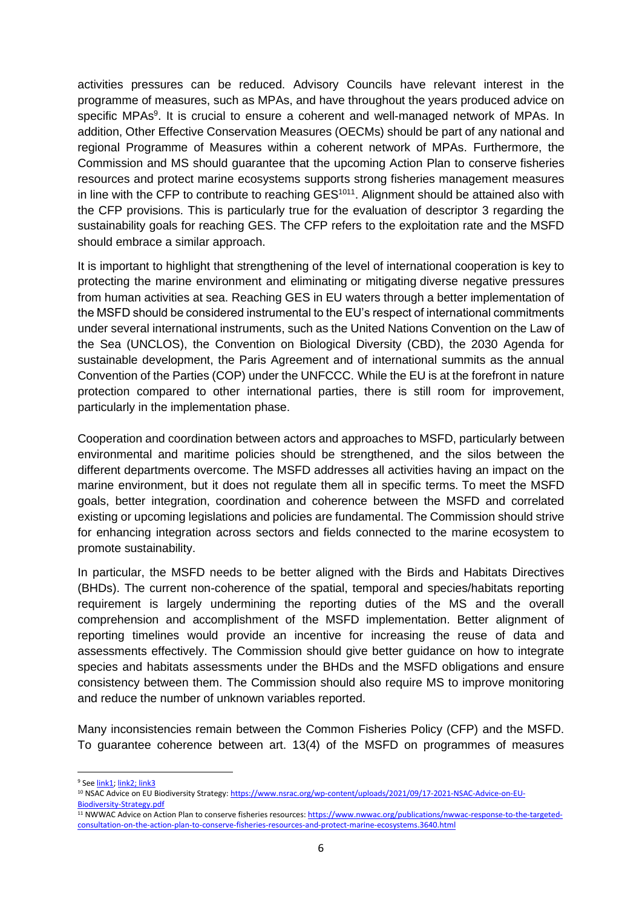activities pressures can be reduced. Advisory Councils have relevant interest in the programme of measures, such as MPAs, and have throughout the years produced advice on specific MPAs<sup>9</sup>. It is crucial to ensure a coherent and well-managed network of MPAs. In addition, Other Effective Conservation Measures (OECMs) should be part of any national and regional Programme of Measures within a coherent network of MPAs. Furthermore, the Commission and MS should guarantee that the upcoming Action Plan to conserve fisheries resources and protect marine ecosystems supports strong fisheries management measures in line with the CFP to contribute to reaching GES<sup>1011</sup>. Alignment should be attained also with the CFP provisions. This is particularly true for the evaluation of descriptor 3 regarding the sustainability goals for reaching GES. The CFP refers to the exploitation rate and the MSFD should embrace a similar approach.

It is important to highlight that strengthening of the level of international cooperation is key to protecting the marine environment and eliminating or mitigating diverse negative pressures from human activities at sea. Reaching GES in EU waters through a better implementation of the MSFD should be considered instrumental to the EU's respect of international commitments under several international instruments, such as the United Nations Convention on the Law of the Sea (UNCLOS), the Convention on Biological Diversity (CBD), the 2030 Agenda for sustainable development, the Paris Agreement and of international summits as the annual Convention of the Parties (COP) under the UNFCCC. While the EU is at the forefront in nature protection compared to other international parties, there is still room for improvement, particularly in the implementation phase.

Cooperation and coordination between actors and approaches to MSFD, particularly between environmental and maritime policies should be strengthened, and the silos between the different departments overcome. The MSFD addresses all activities having an impact on the marine environment, but it does not regulate them all in specific terms. To meet the MSFD goals, better integration, coordination and coherence between the MSFD and correlated existing or upcoming legislations and policies are fundamental. The Commission should strive for enhancing integration across sectors and fields connected to the marine ecosystem to promote sustainability.

In particular, the MSFD needs to be better aligned with the Birds and Habitats Directives (BHDs). The current non-coherence of the spatial, temporal and species/habitats reporting requirement is largely undermining the reporting duties of the MS and the overall comprehension and accomplishment of the MSFD implementation. Better alignment of reporting timelines would provide an incentive for increasing the reuse of data and assessments effectively. The Commission should give better guidance on how to integrate species and habitats assessments under the BHDs and the MSFD obligations and ensure consistency between them. The Commission should also require MS to improve monitoring and reduce the number of unknown variables reported.

Many inconsistencies remain between the Common Fisheries Policy (CFP) and the MSFD. To guarantee coherence between art. 13(4) of the MSFD on programmes of measures

<sup>&</sup>lt;sup>9</sup> Se[e link1;](https://www.nsrac.org/latest-advice/?advice_search=mpa&date=) [link2;](https://www.nsrac.org/latest-advice/?advice_search=msfd&date=) [link3](https://www.nwwac.org/publications/nwwac-reply-to-public-consultation-on-expert-advisory-group-report-entitled-%e2%80%9cexpanding-ireland%e2%80%99s-marine-protected-area-network.3468.html)

<sup>&</sup>lt;sup>10</sup> NSAC Advice on EU Biodiversity Strategy[: https://www.nsrac.org/wp-content/uploads/2021/09/17-2021-NSAC-Advice-on-EU-](https://www.nsrac.org/wp-content/uploads/2021/09/17-2021-NSAC-Advice-on-EU-Biodiversity-Strategy.pdf)[Biodiversity-Strategy.pdf](https://www.nsrac.org/wp-content/uploads/2021/09/17-2021-NSAC-Advice-on-EU-Biodiversity-Strategy.pdf)

<sup>11</sup> NWWAC Advice on Action Plan to conserve fisheries resources[: https://www.nwwac.org/publications/nwwac-response-to-the-targeted](https://www.nwwac.org/publications/nwwac-response-to-the-targeted-consultation-on-the-action-plan-to-conserve-fisheries-resources-and-protect-marine-ecosystems.3640.html)[consultation-on-the-action-plan-to-conserve-fisheries-resources-and-protect-marine-ecosystems.3640.html](https://www.nwwac.org/publications/nwwac-response-to-the-targeted-consultation-on-the-action-plan-to-conserve-fisheries-resources-and-protect-marine-ecosystems.3640.html)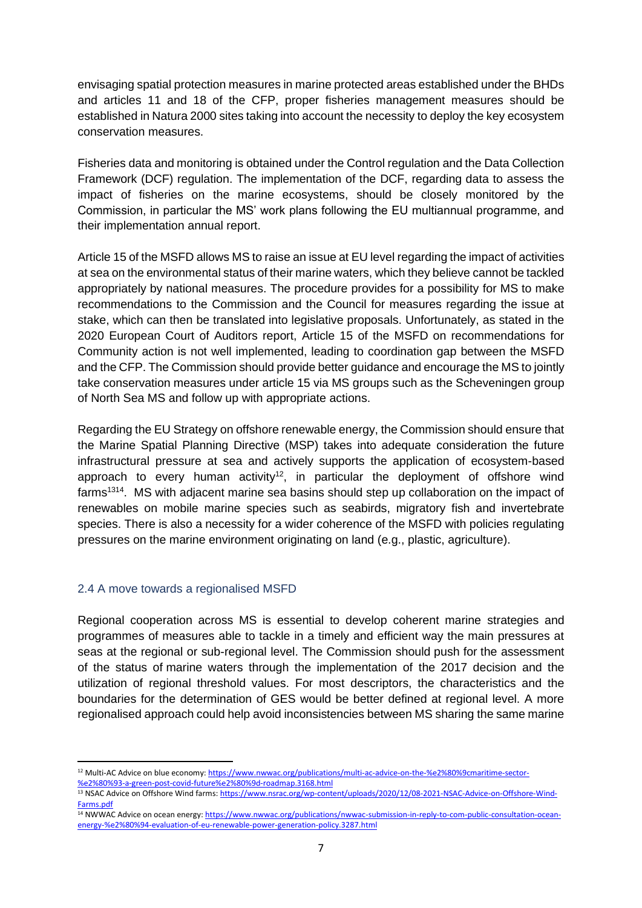envisaging spatial protection measures in marine protected areas established under the BHDs and articles 11 and 18 of the CFP, proper fisheries management measures should be established in Natura 2000 sites taking into account the necessity to deploy the key ecosystem conservation measures.

Fisheries data and monitoring is obtained under the Control regulation and the Data Collection Framework (DCF) regulation. The implementation of the DCF, regarding data to assess the impact of fisheries on the marine ecosystems, should be closely monitored by the Commission, in particular the MS' work plans following the EU multiannual programme, and their implementation annual report.

Article 15 of the MSFD allows MS to raise an issue at EU level regarding the impact of activities at sea on the environmental status of their marine waters, which they believe cannot be tackled appropriately by national measures. The procedure provides for a possibility for MS to make recommendations to the Commission and the Council for measures regarding the issue at stake, which can then be translated into legislative proposals. Unfortunately, as stated in the 2020 European Court of Auditors report, Article 15 of the MSFD on recommendations for Community action is not well implemented, leading to coordination gap between the MSFD and the CFP. The Commission should provide better guidance and encourage the MS to jointly take conservation measures under article 15 via MS groups such as the Scheveningen group of North Sea MS and follow up with appropriate actions.

Regarding the EU Strategy on offshore renewable energy, the Commission should ensure that the Marine Spatial Planning Directive (MSP) takes into adequate consideration the future infrastructural pressure at sea and actively supports the application of ecosystem-based approach to every human activity<sup>12</sup>, in particular the deployment of offshore wind farms<sup>1314</sup>. MS with adjacent marine sea basins should step up collaboration on the impact of renewables on mobile marine species such as seabirds, migratory fish and invertebrate species. There is also a necessity for a wider coherence of the MSFD with policies regulating pressures on the marine environment originating on land (e.g., plastic, agriculture).

#### 2.4 A move towards a regionalised MSFD

Regional cooperation across MS is essential to develop coherent marine strategies and programmes of measures able to tackle in a timely and efficient way the main pressures at seas at the regional or sub-regional level. The Commission should push for the assessment of the status of marine waters through the implementation of the 2017 decision and the utilization of regional threshold values. For most descriptors, the characteristics and the boundaries for the determination of GES would be better defined at regional level. A more regionalised approach could help avoid inconsistencies between MS sharing the same marine

<sup>&</sup>lt;sup>12</sup> Multi-AC Advice on blue economy[: https://www.nwwac.org/publications/multi-ac-advice-on-the-%e2%80%9cmaritime-sector-](https://www.nwwac.org/publications/multi-ac-advice-on-the-%e2%80%9cmaritime-sector-%e2%80%93-a-green-post-covid-future%e2%80%9d-roadmap.3168.html) [%e2%80%93-a-green-post-covid-future%e2%80%9d-roadmap.3168.html](https://www.nwwac.org/publications/multi-ac-advice-on-the-%e2%80%9cmaritime-sector-%e2%80%93-a-green-post-covid-future%e2%80%9d-roadmap.3168.html)

<sup>13</sup> NSAC Advice on Offshore Wind farms[: https://www.nsrac.org/wp-content/uploads/2020/12/08-2021-NSAC-Advice-on-Offshore-Wind-](https://www.nsrac.org/wp-content/uploads/2020/12/08-2021-NSAC-Advice-on-Offshore-Wind-Farms.pdf)[Farms.pdf](https://www.nsrac.org/wp-content/uploads/2020/12/08-2021-NSAC-Advice-on-Offshore-Wind-Farms.pdf)

<sup>&</sup>lt;sup>14</sup> NWWAC Advice on ocean energy[: https://www.nwwac.org/publications/nwwac-submission-in-reply-to-com-public-consultation-ocean](https://www.nwwac.org/publications/nwwac-submission-in-reply-to-com-public-consultation-ocean-energy-%e2%80%94-evaluation-of-eu-renewable-power-generation-policy.3287.html)[energy-%e2%80%94-evaluation-of-eu-renewable-power-generation-policy.3287.html](https://www.nwwac.org/publications/nwwac-submission-in-reply-to-com-public-consultation-ocean-energy-%e2%80%94-evaluation-of-eu-renewable-power-generation-policy.3287.html)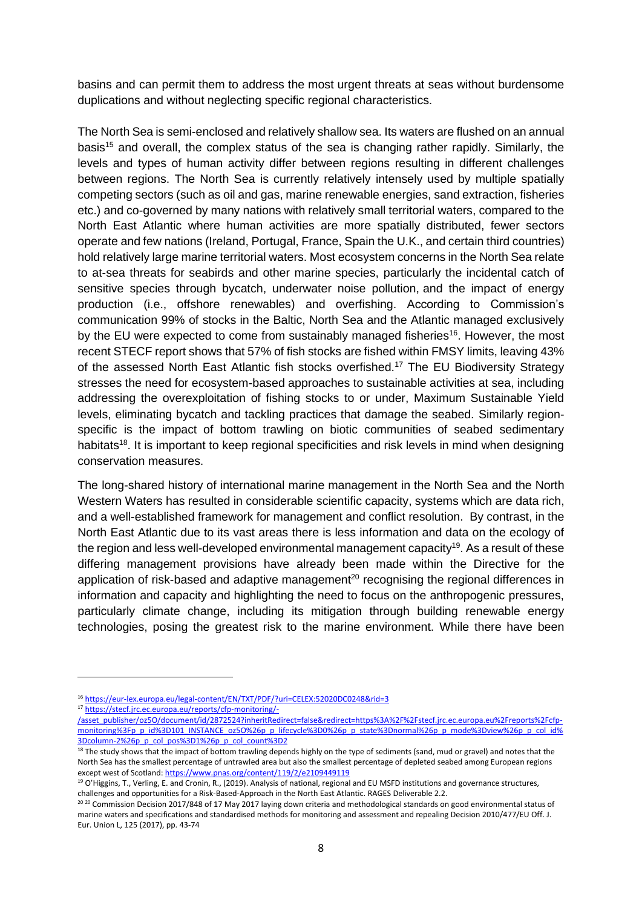basins and can permit them to address the most urgent threats at seas without burdensome duplications and without neglecting specific regional characteristics.

The North Sea is semi-enclosed and relatively shallow sea. Its waters are flushed on an annual basis<sup>15</sup> and overall, the complex status of the sea is changing rather rapidly. Similarly, the levels and types of human activity differ between regions resulting in different challenges between regions. The North Sea is currently relatively intensely used by multiple spatially competing sectors (such as oil and gas, marine renewable energies, sand extraction, fisheries etc.) and co-governed by many nations with relatively small territorial waters, compared to the North East Atlantic where human activities are more spatially distributed, fewer sectors operate and few nations (Ireland, Portugal, France, Spain the U.K., and certain third countries) hold relatively large marine territorial waters. Most ecosystem concerns in the North Sea relate to at-sea threats for seabirds and other marine species, particularly the incidental catch of sensitive species through bycatch, underwater noise pollution, and the impact of energy production (i.e., offshore renewables) and overfishing. According to Commission's communication 99% of stocks in the Baltic, North Sea and the Atlantic managed exclusively by the EU were expected to come from sustainably managed fisheries<sup>16</sup>. However, the most recent STECF report shows that 57% of fish stocks are fished within FMSY limits, leaving 43% of the assessed North East Atlantic fish stocks overfished.<sup>17</sup> The EU Biodiversity Strategy stresses the need for ecosystem-based approaches to sustainable activities at sea, including addressing the overexploitation of fishing stocks to or under, Maximum Sustainable Yield levels, eliminating bycatch and tackling practices that damage the seabed. Similarly regionspecific is the impact of bottom trawling on biotic communities of seabed sedimentary habitats<sup>18</sup>. It is important to keep regional specificities and risk levels in mind when designing conservation measures.

The long-shared history of international marine management in the North Sea and the North Western Waters has resulted in considerable scientific capacity, systems which are data rich, and a well-established framework for management and conflict resolution. By contrast, in the North East Atlantic due to its vast areas there is less information and data on the ecology of the region and less well-developed environmental management capacity<sup>19</sup>. As a result of these differing management provisions have already been made within the Directive for the application of risk-based and adaptive management<sup>20</sup> recognising the regional differences in information and capacity and highlighting the need to focus on the anthropogenic pressures, particularly climate change, including its mitigation through building renewable energy technologies, posing the greatest risk to the marine environment. While there have been

<sup>16</sup> <https://eur-lex.europa.eu/legal-content/EN/TXT/PDF/?uri=CELEX:52020DC0248&rid=3>

<sup>17</sup> [https://stecf.jrc.ec.europa.eu/reports/cfp-monitoring/-](https://stecf.jrc.ec.europa.eu/reports/cfp-monitoring/-/asset_publisher/oz5O/document/id/2872524?inheritRedirect=false&redirect=https%3A%2F%2Fstecf.jrc.ec.europa.eu%2Freports%2Fcfp-monitoring%3Fp_p_id%3D101_INSTANCE_oz5O%26p_p_lifecycle%3D0%26p_p_state%3Dnormal%26p_p_mode%3Dview%26p_p_col_id%3Dcolumn-2%26p_p_col_pos%3D1%26p_p_col_count%3D2)

[<sup>/</sup>asset\\_publisher/oz5O/document/id/2872524?inheritRedirect=false&redirect=https%3A%2F%2Fstecf.jrc.ec.europa.eu%2Freports%2Fcfp](https://stecf.jrc.ec.europa.eu/reports/cfp-monitoring/-/asset_publisher/oz5O/document/id/2872524?inheritRedirect=false&redirect=https%3A%2F%2Fstecf.jrc.ec.europa.eu%2Freports%2Fcfp-monitoring%3Fp_p_id%3D101_INSTANCE_oz5O%26p_p_lifecycle%3D0%26p_p_state%3Dnormal%26p_p_mode%3Dview%26p_p_col_id%3Dcolumn-2%26p_p_col_pos%3D1%26p_p_col_count%3D2)[monitoring%3Fp\\_p\\_id%3D101\\_INSTANCE\\_oz5O%26p\\_p\\_lifecycle%3D0%26p\\_p\\_state%3Dnormal%26p\\_p\\_mode%3Dview%26p\\_p\\_col\\_id%](https://stecf.jrc.ec.europa.eu/reports/cfp-monitoring/-/asset_publisher/oz5O/document/id/2872524?inheritRedirect=false&redirect=https%3A%2F%2Fstecf.jrc.ec.europa.eu%2Freports%2Fcfp-monitoring%3Fp_p_id%3D101_INSTANCE_oz5O%26p_p_lifecycle%3D0%26p_p_state%3Dnormal%26p_p_mode%3Dview%26p_p_col_id%3Dcolumn-2%26p_p_col_pos%3D1%26p_p_col_count%3D2) [3Dcolumn-2%26p\\_p\\_col\\_pos%3D1%26p\\_p\\_col\\_count%3D2](https://stecf.jrc.ec.europa.eu/reports/cfp-monitoring/-/asset_publisher/oz5O/document/id/2872524?inheritRedirect=false&redirect=https%3A%2F%2Fstecf.jrc.ec.europa.eu%2Freports%2Fcfp-monitoring%3Fp_p_id%3D101_INSTANCE_oz5O%26p_p_lifecycle%3D0%26p_p_state%3Dnormal%26p_p_mode%3Dview%26p_p_col_id%3Dcolumn-2%26p_p_col_pos%3D1%26p_p_col_count%3D2)

<sup>&</sup>lt;sup>18</sup> The study shows that the impact of bottom trawling depends highly on the type of sediments (sand, mud or gravel) and notes that the North Sea has the smallest percentage of untrawled area but also the smallest percentage of depleted seabed among European regions except west of Scotland[: https://www.pnas.org/content/119/2/e2109449119](https://www.pnas.org/content/119/2/e2109449119)

<sup>&</sup>lt;sup>19</sup> O'Higgins, T., Verling, E. and Cronin, R., (2019). Analysis of national, regional and EU MSFD institutions and governance structures, challenges and opportunities for a Risk-Based-Approach in the North East Atlantic. RAGES Deliverable 2.2.

<sup>20 20</sup> Commission Decision 2017/848 of 17 May 2017 laying down criteria and methodological standards on good environmental status of marine waters and specifications and standardised methods for monitoring and assessment and repealing Decision 2010/477/EU Off. J. Eur. Union L, 125 (2017), pp. 43-74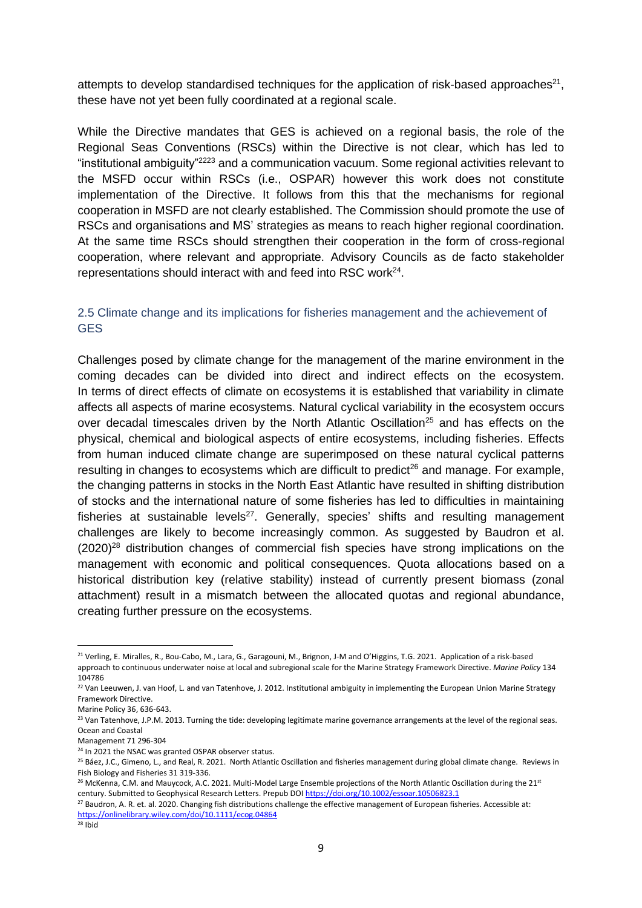attempts to develop standardised techniques for the application of risk-based approaches $21$ , these have not yet been fully coordinated at a regional scale.

While the Directive mandates that GES is achieved on a regional basis, the role of the Regional Seas Conventions (RSCs) within the Directive is not clear, which has led to "institutional ambiguity"<sup>2223</sup> and a communication vacuum. Some regional activities relevant to the MSFD occur within RSCs (i.e., OSPAR) however this work does not constitute implementation of the Directive. It follows from this that the mechanisms for regional cooperation in MSFD are not clearly established. The Commission should promote the use of RSCs and organisations and MS' strategies as means to reach higher regional coordination. At the same time RSCs should strengthen their cooperation in the form of cross-regional cooperation, where relevant and appropriate. Advisory Councils as de facto stakeholder representations should interact with and feed into RSC work<sup>24</sup>.

# 2.5 Climate change and its implications for fisheries management and the achievement of GES

Challenges posed by climate change for the management of the marine environment in the coming decades can be divided into direct and indirect effects on the ecosystem. In terms of direct effects of climate on ecosystems it is established that variability in climate affects all aspects of marine ecosystems. Natural cyclical variability in the ecosystem occurs over decadal timescales driven by the North Atlantic Oscillation<sup>25</sup> and has effects on the physical, chemical and biological aspects of entire ecosystems, including fisheries. Effects from human induced climate change are superimposed on these natural cyclical patterns resulting in changes to ecosystems which are difficult to predict<sup>26</sup> and manage. For example, the changing patterns in stocks in the North East Atlantic have resulted in shifting distribution of stocks and the international nature of some fisheries has led to difficulties in maintaining fisheries at sustainable levels<sup>27</sup>. Generally, species' shifts and resulting management challenges are likely to become increasingly common. As suggested by Baudron et al.  $(2020)^{28}$  distribution changes of commercial fish species have strong implications on the management with economic and political consequences. Quota allocations based on a historical distribution key (relative stability) instead of currently present biomass (zonal attachment) result in a mismatch between the allocated quotas and regional abundance, creating further pressure on the ecosystems.

<sup>27</sup> Baudron, A. R. et. al. 2020. Changing fish distributions challenge the effective management of European fisheries. Accessible at: <https://onlinelibrary.wiley.com/doi/10.1111/ecog.04864>

 $28$  Ibid

<sup>&</sup>lt;sup>21</sup> Verling, E. Miralles, R., Bou-Cabo, M., Lara, G., Garagouni, M., Brignon, J-M and O'Higgins, T.G. 2021. Application of a risk-based approach to continuous underwater noise at local and subregional scale for the Marine Strategy Framework Directive. *Marine Policy* 134 104786

<sup>&</sup>lt;sup>22</sup> Van Leeuwen, J. van Hoof, L. and van Tatenhove, J. 2012. Institutional ambiguity in implementing the European Union Marine Strategy Framework Directive.

Marine Policy 36, 636-643.

<sup>&</sup>lt;sup>23</sup> Van Tatenhove, J.P.M. 2013. Turning the tide: developing legitimate marine governance arrangements at the level of the regional seas. Ocean and Coastal

Management 71 296-304

<sup>&</sup>lt;sup>24</sup> In 2021 the NSAC was granted OSPAR observer status.

<sup>&</sup>lt;sup>25</sup> Báez, J.C., Gimeno, L., and Real, R. 2021. North Atlantic Oscillation and fisheries management during global climate change. Reviews in Fish Biology and Fisheries 31 319-336.

<sup>&</sup>lt;sup>26</sup> McKenna, C.M. and Mauycock, A.C. 2021. Multi-Model Large Ensemble projections of the North Atlantic Oscillation during the 21st century. Submitted to Geophysical Research Letters. Prepub DO[I https://doi.org/10.1002/essoar.10506823.1](https://doi.org/10.1002/essoar.10506823.1)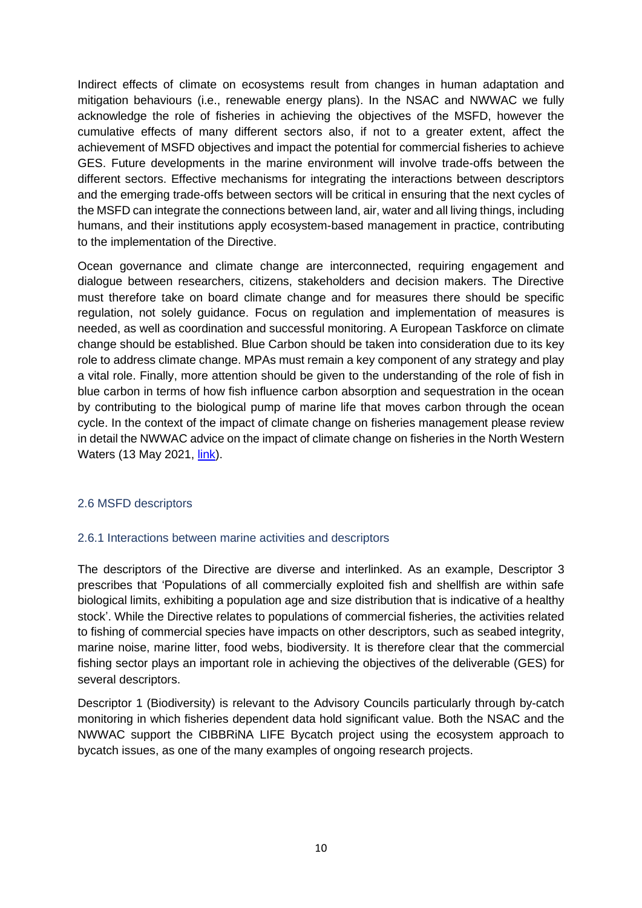Indirect effects of climate on ecosystems result from changes in human adaptation and mitigation behaviours (i.e., renewable energy plans). In the NSAC and NWWAC we fully acknowledge the role of fisheries in achieving the objectives of the MSFD, however the cumulative effects of many different sectors also, if not to a greater extent, affect the achievement of MSFD objectives and impact the potential for commercial fisheries to achieve GES. Future developments in the marine environment will involve trade-offs between the different sectors. Effective mechanisms for integrating the interactions between descriptors and the emerging trade-offs between sectors will be critical in ensuring that the next cycles of the MSFD can integrate the connections between land, air, water and all living things, including humans, and their institutions apply ecosystem-based management in practice, contributing to the implementation of the Directive.

Ocean governance and climate change are interconnected, requiring engagement and dialogue between researchers, citizens, stakeholders and decision makers. The Directive must therefore take on board climate change and for measures there should be specific regulation, not solely guidance. Focus on regulation and implementation of measures is needed, as well as coordination and successful monitoring. A European Taskforce on climate change should be established. Blue Carbon should be taken into consideration due to its key role to address climate change. MPAs must remain a key component of any strategy and play a vital role. Finally, more attention should be given to the understanding of the role of fish in blue carbon in terms of how fish influence carbon absorption and sequestration in the ocean by contributing to the biological pump of marine life that moves carbon through the ocean cycle. In the context of the impact of climate change on fisheries management please review in detail the NWWAC advice on the impact of climate change on fisheries in the North Western Waters (13 May 2021, [link\)](https://www.nwwac.org/publications/nwwac-advice-on-the-impact-of-climate-change-on-fisheries-in-the-north-western-waters.3404.html).

#### 2.6 MSFD descriptors

#### 2.6.1 Interactions between marine activities and descriptors

The descriptors of the Directive are diverse and interlinked. As an example, Descriptor 3 prescribes that 'Populations of all commercially exploited fish and shellfish are within safe biological limits, exhibiting a population age and size distribution that is indicative of a healthy stock'. While the Directive relates to populations of commercial fisheries, the activities related to fishing of commercial species have impacts on other descriptors, such as seabed integrity, marine noise, marine litter, food webs, biodiversity. It is therefore clear that the commercial fishing sector plays an important role in achieving the objectives of the deliverable (GES) for several descriptors.

Descriptor 1 (Biodiversity) is relevant to the Advisory Councils particularly through by-catch monitoring in which fisheries dependent data hold significant value. Both the NSAC and the NWWAC support the CIBBRiNA LIFE Bycatch project using the ecosystem approach to bycatch issues, as one of the many examples of ongoing research projects.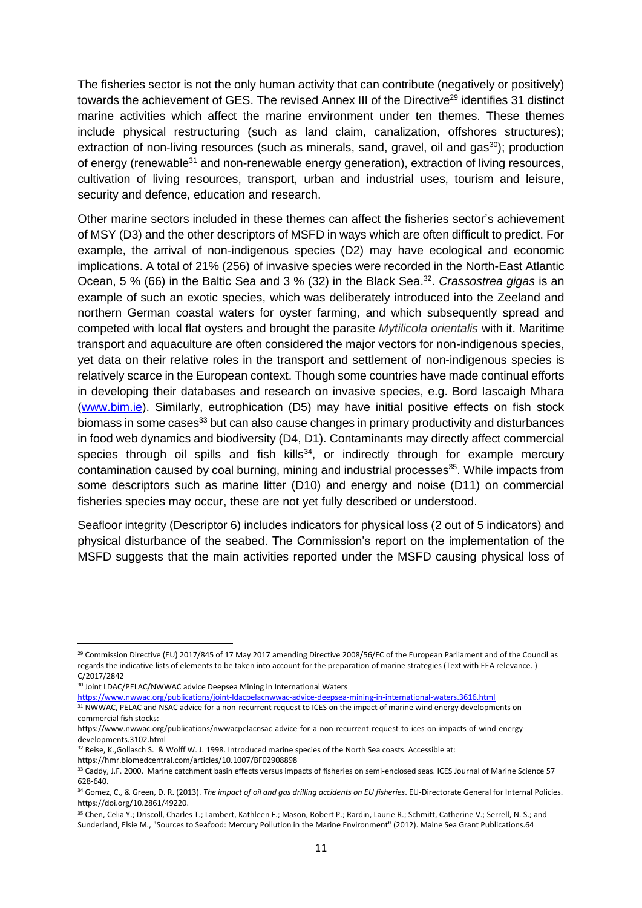The fisheries sector is not the only human activity that can contribute (negatively or positively) towards the achievement of GES. The revised Annex III of the Directive<sup>29</sup> identifies 31 distinct marine activities which affect the marine environment under ten themes. These themes include physical restructuring (such as land claim, canalization, offshores structures); extraction of non-living resources (such as minerals, sand, gravel, oil and gas $^{30}$ ); production of energy (renewable $31$  and non-renewable energy generation), extraction of living resources, cultivation of living resources, transport, urban and industrial uses, tourism and leisure, security and defence, education and research.

Other marine sectors included in these themes can affect the fisheries sector's achievement of MSY (D3) and the other descriptors of MSFD in ways which are often difficult to predict. For example, the arrival of non-indigenous species (D2) may have ecological and economic implications. A total of 21% (256) of invasive species were recorded in the North-East Atlantic Ocean, 5 % (66) in the Baltic Sea and 3 % (32) in the Black Sea. 32 . *Crassostrea gigas* is an example of such an exotic species, which was deliberately introduced into the Zeeland and northern German coastal waters for oyster farming, and which subsequently spread and competed with local flat oysters and brought the parasite *Mytilicola orientalis* with it. Maritime transport and aquaculture are often considered the major vectors for non-indigenous species, yet data on their relative roles in the transport and settlement of non-indigenous species is relatively scarce in the European context. Though some countries have made continual efforts in developing their databases and research on invasive species, e.g. Bord Iascaigh Mhara [\(www.bim.ie\)](http://www.bim.ie/). Similarly, eutrophication (D5) may have initial positive effects on fish stock biomass in some cases<sup>33</sup> but can also cause changes in primary productivity and disturbances in food web dynamics and biodiversity (D4, D1). Contaminants may directly affect commercial species through oil spills and fish kills<sup>34</sup>, or indirectly through for example mercury contamination caused by coal burning, mining and industrial processes<sup>35</sup>. While impacts from some descriptors such as marine litter (D10) and energy and noise (D11) on commercial fisheries species may occur, these are not yet fully described or understood.

Seafloor integrity (Descriptor 6) includes indicators for physical loss (2 out of 5 indicators) and physical disturbance of the seabed. The Commission's report on the implementation of the MSFD suggests that the main activities reported under the MSFD causing physical loss of

https://hmr.biomedcentral.com/articles/10.1007/BF02908898

<sup>&</sup>lt;sup>29</sup> Commission Directive (EU) 2017/845 of 17 May 2017 amending Directive 2008/56/EC of the European Parliament and of the Council as regards the indicative lists of elements to be taken into account for the preparation of marine strategies (Text with EEA relevance. ) C/2017/2842

<sup>30</sup> Joint LDAC/PELAC/NWWAC advice Deepsea Mining in International Waters

<https://www.nwwac.org/publications/joint-ldacpelacnwwac-advice-deepsea-mining-in-international-waters.3616.html>

<sup>31</sup> NWWAC, PELAC and NSAC advice for a non-recurrent request to ICES on the impact of marine wind energy developments on commercial fish stocks:

https://www.nwwac.org/publications/nwwacpelacnsac-advice-for-a-non-recurrent-request-to-ices-on-impacts-of-wind-energydevelopments.3102.html

<sup>32</sup> Reise, K.,Gollasch S. & Wolff W. J. 1998. Introduced marine species of the North Sea coasts. Accessible at:

<sup>33</sup> Caddy, J.F. 2000. Marine catchment basin effects versus impacts of fisheries on semi-enclosed seas. ICES Journal of Marine Science 57 628-640.

<sup>34</sup> Gomez, C., & Green, D. R. (2013). *The impact of oil and gas drilling accidents on EU fisheries*. EU-Directorate General for Internal Policies. https://doi.org/10.2861/49220.

<sup>35</sup> Chen, Celia Y.; Driscoll, Charles T.; Lambert, Kathleen F.; Mason, Robert P.; Rardin, Laurie R.; Schmitt, Catherine V.; Serrell, N. S.; and Sunderland, Elsie M., "Sources to Seafood: Mercury Pollution in the Marine Environment" (2012). Maine Sea Grant Publications.64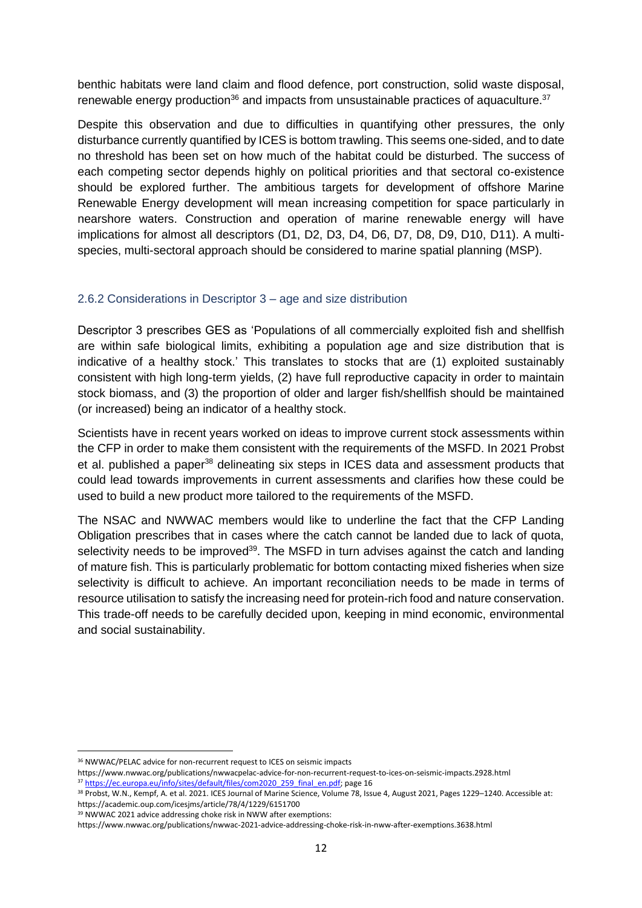benthic habitats were land claim and flood defence, port construction, solid waste disposal, renewable energy production<sup>36</sup> and impacts from unsustainable practices of aquaculture.<sup>37</sup>

Despite this observation and due to difficulties in quantifying other pressures, the only disturbance currently quantified by ICES is bottom trawling. This seems one-sided, and to date no threshold has been set on how much of the habitat could be disturbed. The success of each competing sector depends highly on political priorities and that sectoral co-existence should be explored further. The ambitious targets for development of offshore Marine Renewable Energy development will mean increasing competition for space particularly in nearshore waters. Construction and operation of marine renewable energy will have implications for almost all descriptors (D1, D2, D3, D4, D6, D7, D8, D9, D10, D11). A multispecies, multi-sectoral approach should be considered to marine spatial planning (MSP).

#### 2.6.2 Considerations in Descriptor 3 – age and size distribution

Descriptor 3 prescribes GES as 'Populations of all commercially exploited fish and shellfish are within safe biological limits, exhibiting a population age and size distribution that is indicative of a healthy stock.' This translates to stocks that are (1) exploited sustainably consistent with high long-term yields, (2) have full reproductive capacity in order to maintain stock biomass, and (3) the proportion of older and larger fish/shellfish should be maintained (or increased) being an indicator of a healthy stock.

Scientists have in recent years worked on ideas to improve current stock assessments within the CFP in order to make them consistent with the requirements of the MSFD. In 2021 Probst et al. published a paper<sup>38</sup> delineating six steps in ICES data and assessment products that could lead towards improvements in current assessments and clarifies how these could be used to build a new product more tailored to the requirements of the MSFD.

The NSAC and NWWAC members would like to underline the fact that the CFP Landing Obligation prescribes that in cases where the catch cannot be landed due to lack of quota, selectivity needs to be improved $39$ . The MSFD in turn advises against the catch and landing of mature fish. This is particularly problematic for bottom contacting mixed fisheries when size selectivity is difficult to achieve. An important reconciliation needs to be made in terms of resource utilisation to satisfy the increasing need for protein-rich food and nature conservation. This trade-off needs to be carefully decided upon, keeping in mind economic, environmental and social sustainability.

<sup>&</sup>lt;sup>36</sup> NWWAC/PELAC advice for non-recurrent request to ICES on seismic impacts

https://www.nwwac.org/publications/nwwacpelac-advice-for-non-recurrent-request-to-ices-on-seismic-impacts.2928.html 37 [https://ec.europa.eu/info/sites/default/files/com2020\\_259\\_final\\_en.pdf;](https://ec.europa.eu/info/sites/default/files/com2020_259_final_en.pdf) page 16

<sup>38</sup> Probst, W.N., Kempf, A. et al. 2021. ICES Journal of Marine Science, Volume 78, Issue 4, August 2021, Pages 1229–1240. Accessible at: https://academic.oup.com/icesjms/article/78/4/1229/6151700

<sup>39</sup> NWWAC 2021 advice addressing choke risk in NWW after exemptions:

https://www.nwwac.org/publications/nwwac-2021-advice-addressing-choke-risk-in-nww-after-exemptions.3638.html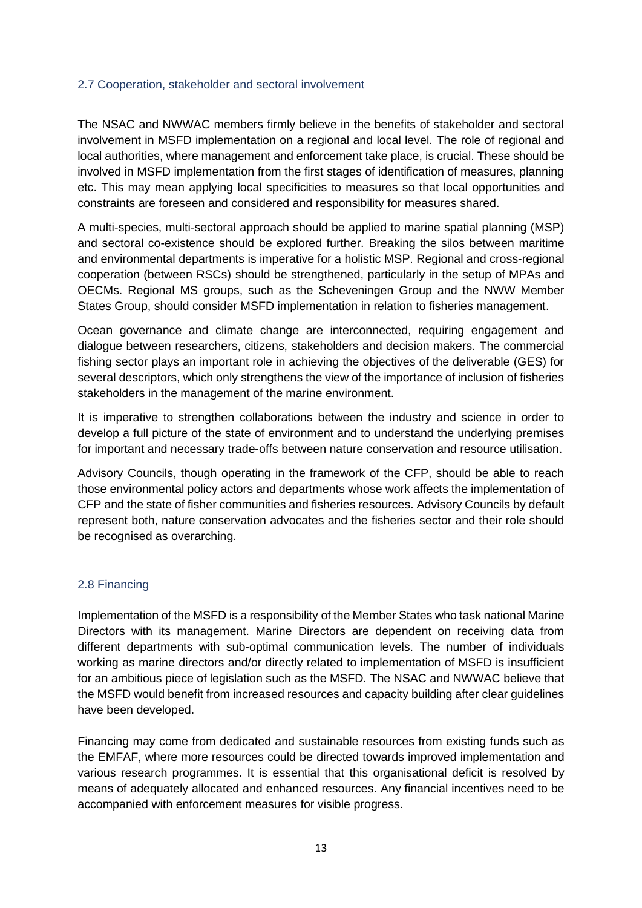#### 2.7 Cooperation, stakeholder and sectoral involvement

The NSAC and NWWAC members firmly believe in the benefits of stakeholder and sectoral involvement in MSFD implementation on a regional and local level. The role of regional and local authorities, where management and enforcement take place, is crucial. These should be involved in MSFD implementation from the first stages of identification of measures, planning etc. This may mean applying local specificities to measures so that local opportunities and constraints are foreseen and considered and responsibility for measures shared.

A multi-species, multi-sectoral approach should be applied to marine spatial planning (MSP) and sectoral co-existence should be explored further. Breaking the silos between maritime and environmental departments is imperative for a holistic MSP. Regional and cross-regional cooperation (between RSCs) should be strengthened, particularly in the setup of MPAs and OECMs. Regional MS groups, such as the Scheveningen Group and the NWW Member States Group, should consider MSFD implementation in relation to fisheries management.

Ocean governance and climate change are interconnected, requiring engagement and dialogue between researchers, citizens, stakeholders and decision makers. The commercial fishing sector plays an important role in achieving the objectives of the deliverable (GES) for several descriptors, which only strengthens the view of the importance of inclusion of fisheries stakeholders in the management of the marine environment.

It is imperative to strengthen collaborations between the industry and science in order to develop a full picture of the state of environment and to understand the underlying premises for important and necessary trade-offs between nature conservation and resource utilisation.

Advisory Councils, though operating in the framework of the CFP, should be able to reach those environmental policy actors and departments whose work affects the implementation of CFP and the state of fisher communities and fisheries resources. Advisory Councils by default represent both, nature conservation advocates and the fisheries sector and their role should be recognised as overarching.

#### 2.8 Financing

Implementation of the MSFD is a responsibility of the Member States who task national Marine Directors with its management. Marine Directors are dependent on receiving data from different departments with sub-optimal communication levels. The number of individuals working as marine directors and/or directly related to implementation of MSFD is insufficient for an ambitious piece of legislation such as the MSFD. The NSAC and NWWAC believe that the MSFD would benefit from increased resources and capacity building after clear guidelines have been developed.

Financing may come from dedicated and sustainable resources from existing funds such as the EMFAF, where more resources could be directed towards improved implementation and various research programmes. It is essential that this organisational deficit is resolved by means of adequately allocated and enhanced resources. Any financial incentives need to be accompanied with enforcement measures for visible progress.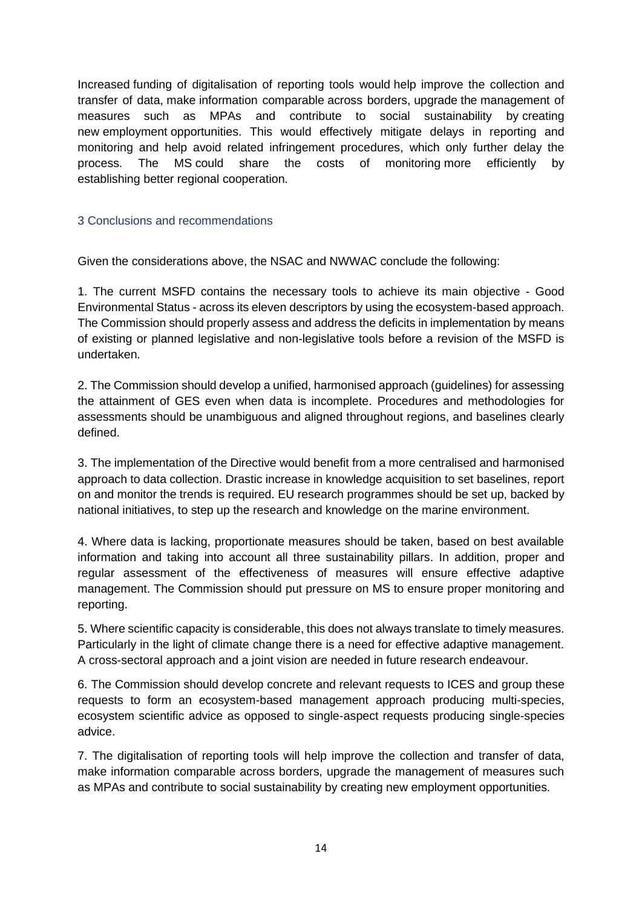Increased funding of digitalisation of reporting tools would help improve the collection and transfer of data, make information comparable across borders, upgrade the management of measures such as MPAs and contribute to social sustainability by creating new employment opportunities. This would effectively mitigate delays in reporting and monitoring and help avoid related infringement procedures, which only further delay the process. The MS could share the costs of monitoring more efficiently by establishing better regional cooperation.

## 3 Conclusions and recommendations

Given the considerations above, the NSAC and NWWAC conclude the following:

1. The current MSFD contains the necessary tools to achieve its main objective - Good Environmental Status - across its eleven descriptors by using the ecosystem-based approach. The Commission should properly assess and address the deficits in implementation by means of existing or planned legislative and non-legislative tools before a revision of the MSFD is undertaken.

2. The Commission should develop a unified, harmonised approach (guidelines) for assessing the attainment of GES even when data is incomplete. Procedures and methodologies for assessments should be unambiguous and aligned throughout regions, and baselines clearly defined.

3. The implementation of the Directive would benefit from a more centralised and harmonised approach to data collection. Drastic increase in knowledge acquisition to set baselines, report on and monitor the trends is required. EU research programmes should be set up, backed by national initiatives, to step up the research and knowledge on the marine environment.

4. Where data is lacking, proportionate measures should be taken, based on best available information and taking into account all three sustainability pillars. In addition, proper and regular assessment of the effectiveness of measures will ensure effective adaptive management. The Commission should put pressure on MS to ensure proper monitoring and reporting.

5. Where scientific capacity is considerable, this does not always translate to timely measures. Particularly in the light of climate change there is a need for effective adaptive management. A cross-sectoral approach and a joint vision are needed in future research endeavour.

6. The Commission should develop concrete and relevant requests to ICES and group these requests to form an ecosystem-based management approach producing multi-species, ecosystem scientific advice as opposed to single-aspect requests producing single-species advice.

7. The digitalisation of reporting tools will help improve the collection and transfer of data, make information comparable across borders, upgrade the management of measures such as MPAs and contribute to social sustainability by creating new employment opportunities.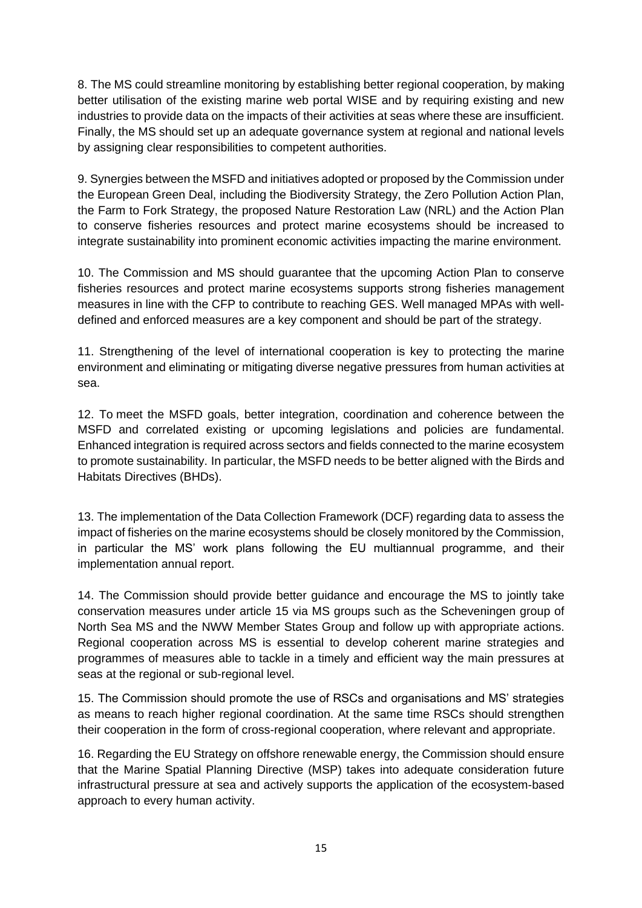8. The MS could streamline monitoring by establishing better regional cooperation, by making better utilisation of the existing marine web portal WISE and by requiring existing and new industries to provide data on the impacts of their activities at seas where these are insufficient. Finally, the MS should set up an adequate governance system at regional and national levels by assigning clear responsibilities to competent authorities.

9. Synergies between the MSFD and initiatives adopted or proposed by the Commission under the European Green Deal, including the Biodiversity Strategy, the Zero Pollution Action Plan, the Farm to Fork Strategy, the proposed Nature Restoration Law (NRL) and the Action Plan to conserve fisheries resources and protect marine ecosystems should be increased to integrate sustainability into prominent economic activities impacting the marine environment.

10. The Commission and MS should guarantee that the upcoming Action Plan to conserve fisheries resources and protect marine ecosystems supports strong fisheries management measures in line with the CFP to contribute to reaching GES. Well managed MPAs with welldefined and enforced measures are a key component and should be part of the strategy.

11. Strengthening of the level of international cooperation is key to protecting the marine environment and eliminating or mitigating diverse negative pressures from human activities at sea.

12. To meet the MSFD goals, better integration, coordination and coherence between the MSFD and correlated existing or upcoming legislations and policies are fundamental. Enhanced integration is required across sectors and fields connected to the marine ecosystem to promote sustainability. In particular, the MSFD needs to be better aligned with the Birds and Habitats Directives (BHDs).

13. The implementation of the Data Collection Framework (DCF) regarding data to assess the impact of fisheries on the marine ecosystems should be closely monitored by the Commission, in particular the MS' work plans following the EU multiannual programme, and their implementation annual report.

14. The Commission should provide better guidance and encourage the MS to jointly take conservation measures under article 15 via MS groups such as the Scheveningen group of North Sea MS and the NWW Member States Group and follow up with appropriate actions. Regional cooperation across MS is essential to develop coherent marine strategies and programmes of measures able to tackle in a timely and efficient way the main pressures at seas at the regional or sub-regional level.

15. The Commission should promote the use of RSCs and organisations and MS' strategies as means to reach higher regional coordination. At the same time RSCs should strengthen their cooperation in the form of cross-regional cooperation, where relevant and appropriate.

16. Regarding the EU Strategy on offshore renewable energy, the Commission should ensure that the Marine Spatial Planning Directive (MSP) takes into adequate consideration future infrastructural pressure at sea and actively supports the application of the ecosystem-based approach to every human activity.